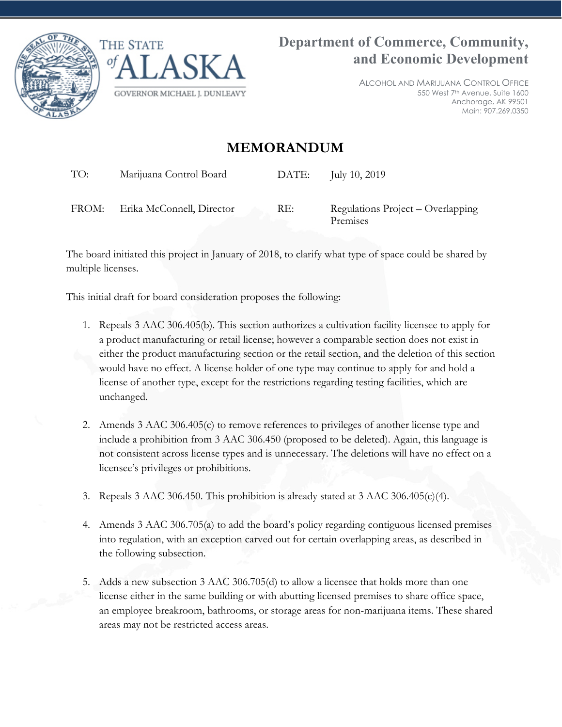



ALCOHOL AND MARIJUANA CONTROL OFFICE 550 West 7th Avenue, Suite 1600 Anchorage, AK 99501 Main: 907.269.0350

## **MEMORANDUM**

TO: Marijuana Control Board DATE: July 10, 2019

FROM: Erika McConnell, Director RE: Regulations Project – Overlapping Premises

The board initiated this project in January of 2018, to clarify what type of space could be shared by multiple licenses.

This initial draft for board consideration proposes the following:

- 1. Repeals 3 AAC 306.405(b). This section authorizes a cultivation facility licensee to apply for a product manufacturing or retail license; however a comparable section does not exist in either the product manufacturing section or the retail section, and the deletion of this section would have no effect. A license holder of one type may continue to apply for and hold a license of another type, except for the restrictions regarding testing facilities, which are unchanged.
- 2. Amends 3 AAC 306.405(c) to remove references to privileges of another license type and include a prohibition from 3 AAC 306.450 (proposed to be deleted). Again, this language is not consistent across license types and is unnecessary. The deletions will have no effect on a licensee's privileges or prohibitions.
- 3. Repeals 3 AAC 306.450. This prohibition is already stated at 3 AAC 306.405(c)(4).
- 4. Amends 3 AAC 306.705(a) to add the board's policy regarding contiguous licensed premises into regulation, with an exception carved out for certain overlapping areas, as described in the following subsection.
- 5. Adds a new subsection 3 AAC 306.705(d) to allow a licensee that holds more than one license either in the same building or with abutting licensed premises to share office space, an employee breakroom, bathrooms, or storage areas for non-marijuana items. These shared areas may not be restricted access areas.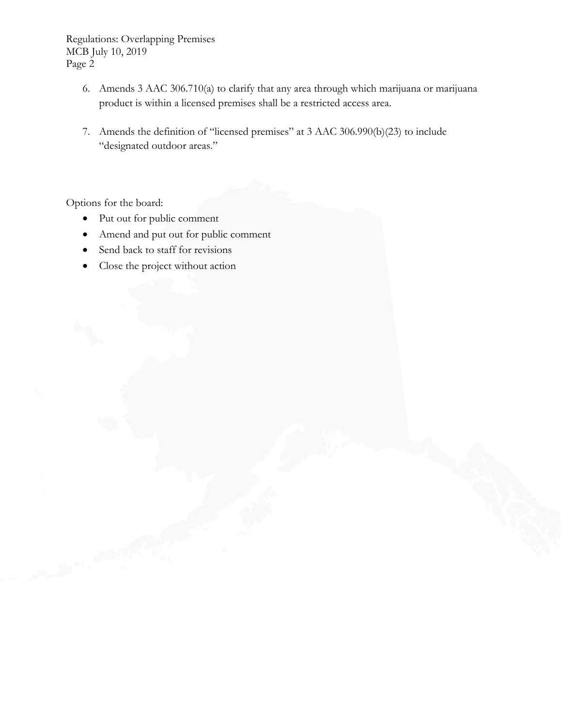Regulations: Overlapping Premises MCB July 10, 2019 Page 2

- 6. Amends 3 AAC 306.710(a) to clarify that any area through which marijuana or marijuana product is within a licensed premises shall be a restricted access area.
- 7. Amends the definition of "licensed premises" at 3 AAC 306.990(b)(23) to include "designated outdoor areas."

Options for the board:

- Put out for public comment
- Amend and put out for public comment
- Send back to staff for revisions
- Close the project without action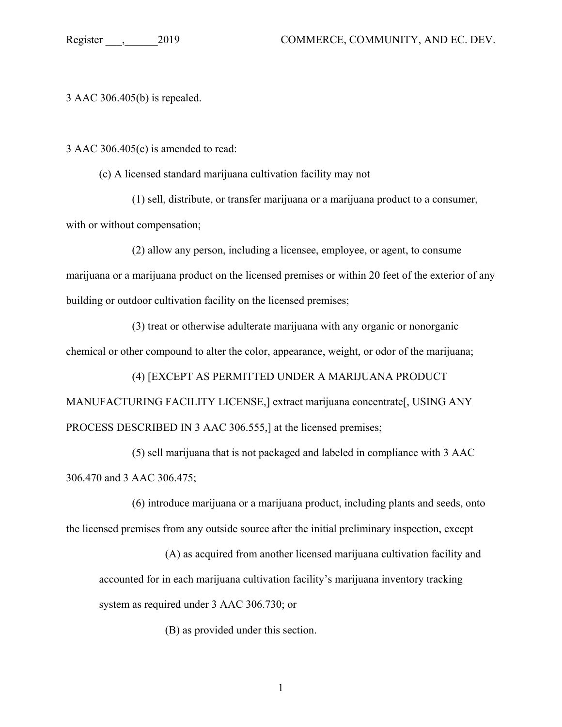3 AAC 306.405(b) is repealed.

3 AAC 306.405(c) is amended to read:

(c) A licensed standard marijuana cultivation facility may not

(1) sell, distribute, or transfer marijuana or a marijuana product to a consumer, with or without compensation;

(2) allow any person, including a licensee, employee, or agent, to consume marijuana or a marijuana product on the licensed premises or within 20 feet of the exterior of any building or outdoor cultivation facility on the licensed premises;

(3) treat or otherwise adulterate marijuana with any organic or nonorganic chemical or other compound to alter the color, appearance, weight, or odor of the marijuana;

(4) [EXCEPT AS PERMITTED UNDER A MARIJUANA PRODUCT MANUFACTURING FACILITY LICENSE,] extract marijuana concentrate[, USING ANY PROCESS DESCRIBED IN 3 AAC 306.555,] at the licensed premises;

(5) sell marijuana that is not packaged and labeled in compliance with 3 AAC 306.470 and 3 AAC 306.475;

(6) introduce marijuana or a marijuana product, including plants and seeds, onto the licensed premises from any outside source after the initial preliminary inspection, except

(A) as acquired from another licensed marijuana cultivation facility and accounted for in each marijuana cultivation facility's marijuana inventory tracking system as required under 3 AAC 306.730; or

(B) as provided under this section.

1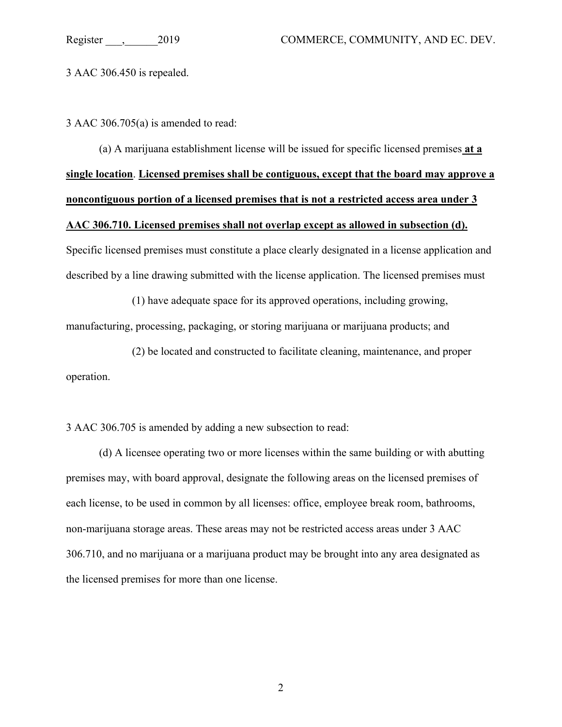3 AAC 306.450 is repealed.

3 AAC 306.705(a) is amended to read:

(a) A marijuana establishment license will be issued for specific licensed premises **at a single location**. **Licensed premises shall be contiguous, except that the board may approve a noncontiguous portion of a licensed premises that is not a restricted access area under 3 AAC 306.710. Licensed premises shall not overlap except as allowed in subsection (d).** Specific licensed premises must constitute a place clearly designated in a license application and described by a line drawing submitted with the license application. The licensed premises must

(1) have adequate space for its approved operations, including growing, manufacturing, processing, packaging, or storing marijuana or marijuana products; and

(2) be located and constructed to facilitate cleaning, maintenance, and proper operation.

3 AAC 306.705 is amended by adding a new subsection to read:

(d) A licensee operating two or more licenses within the same building or with abutting premises may, with board approval, designate the following areas on the licensed premises of each license, to be used in common by all licenses: office, employee break room, bathrooms, non-marijuana storage areas. These areas may not be restricted access areas under 3 AAC 306.710, and no marijuana or a marijuana product may be brought into any area designated as the licensed premises for more than one license.

2